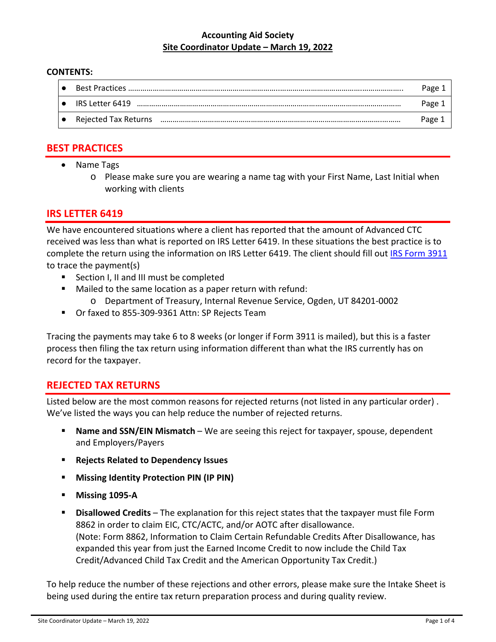#### **Accounting Aid Society Site Coordinator Update – March 19, 2022**

#### **CONTENTS:**

|                           | Page 1 |
|---------------------------|--------|
| $\bullet$ IRS Letter 6419 | Page 1 |
| • Rejected Tax Returns    | Page 1 |

# **BEST PRACTICES**

- Name Tags
	- o Please make sure you are wearing a name tag with your First Name, Last Initial when working with clients

## **IRS LETTER 6419**

We have encountered situations where a client has reported that the amount of Advanced CTC received was less than what is reported on IRS Letter 6419. In these situations the best practice is to complete the return using the information on IRS Letter 6419. The client should fill out IRS Form 3911 to trace the payment(s)

- Section I, II and III must be completed
- Mailed to the same location as a paper return with refund:
	- o Department of Treasury, Internal Revenue Service, Ogden, UT 84201‐0002
- Or faxed to 855-309-9361 Attn: SP Rejects Team

Tracing the payments may take 6 to 8 weeks (or longer if Form 3911 is mailed), but this is a faster process then filing the tax return using information different than what the IRS currently has on record for the taxpayer.

## **REJECTED TAX RETURNS**

Listed below are the most common reasons for rejected returns (not listed in any particular order) . We've listed the ways you can help reduce the number of rejected returns.

- **Name and SSN/EIN Mismatch** We are seeing this reject for taxpayer, spouse, dependent and Employers/Payers
- **Rejects Related to Dependency Issues**
- **Missing Identity Protection PIN (IP PIN)**
- **Missing 1095‐A**
- **Disallowed Credits** The explanation for this reject states that the taxpayer must file Form 8862 in order to claim EIC, CTC/ACTC, and/or AOTC after disallowance. (Note: Form 8862, Information to Claim Certain Refundable Credits After Disallowance, has expanded this year from just the Earned Income Credit to now include the Child Tax Credit/Advanced Child Tax Credit and the American Opportunity Tax Credit.)

To help reduce the number of these rejections and other errors, please make sure the Intake Sheet is being used during the entire tax return preparation process and during quality review.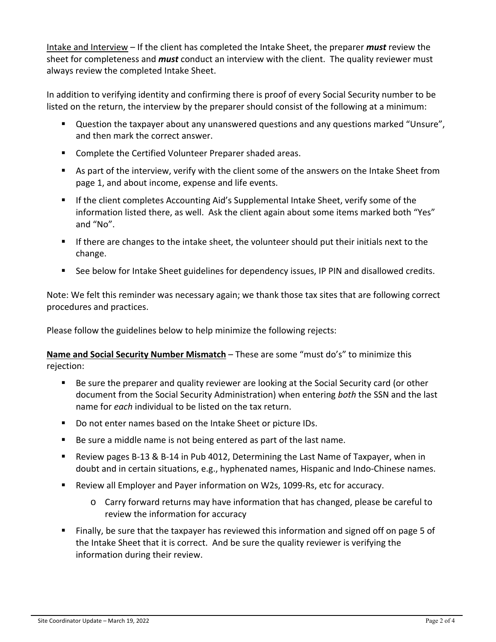Intake and Interview – If the client has completed the Intake Sheet, the preparer *must* review the sheet for completeness and *must* conduct an interview with the client. The quality reviewer must always review the completed Intake Sheet.

In addition to verifying identity and confirming there is proof of every Social Security number to be listed on the return, the interview by the preparer should consist of the following at a minimum:

- **Question the taxpayer about any unanswered questions and any questions marked "Unsure",** and then mark the correct answer.
- **E** Complete the Certified Volunteer Preparer shaded areas.
- As part of the interview, verify with the client some of the answers on the Intake Sheet from page 1, and about income, expense and life events.
- **If the client completes Accounting Aid's Supplemental Intake Sheet, verify some of the** information listed there, as well. Ask the client again about some items marked both "Yes" and "No".
- If there are changes to the intake sheet, the volunteer should put their initials next to the change.
- See below for Intake Sheet guidelines for dependency issues, IP PIN and disallowed credits.

Note: We felt this reminder was necessary again; we thank those tax sites that are following correct procedures and practices.

Please follow the guidelines below to help minimize the following rejects:

**Name and Social Security Number Mismatch** – These are some "must do's" to minimize this rejection:

- Be sure the preparer and quality reviewer are looking at the Social Security card (or other document from the Social Security Administration) when entering *both* the SSN and the last name for *each* individual to be listed on the tax return.
- Do not enter names based on the Intake Sheet or picture IDs.
- Be sure a middle name is not being entered as part of the last name.
- Review pages B-13 & B-14 in Pub 4012, Determining the Last Name of Taxpayer, when in doubt and in certain situations, e.g., hyphenated names, Hispanic and Indo‐Chinese names.
- Review all Employer and Payer information on W2s, 1099-Rs, etc for accuracy.
	- o Carry forward returns may have information that has changed, please be careful to review the information for accuracy
- Finally, be sure that the taxpayer has reviewed this information and signed off on page 5 of the Intake Sheet that it is correct. And be sure the quality reviewer is verifying the information during their review.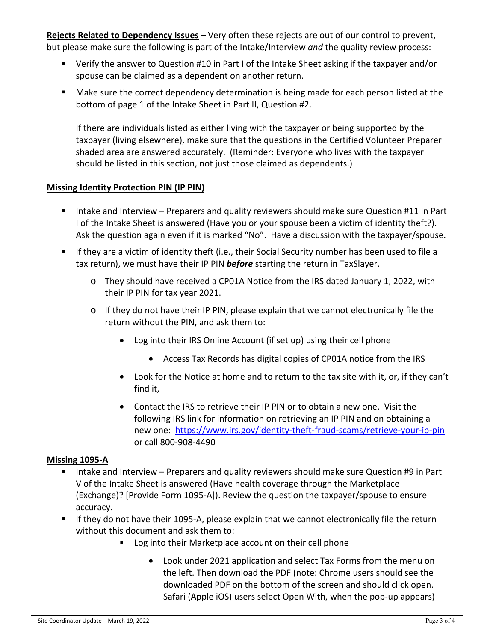**Rejects Related to Dependency Issues** – Very often these rejects are out of our control to prevent, but please make sure the following is part of the Intake/Interview *and* the quality review process:

- Verify the answer to Question #10 in Part I of the Intake Sheet asking if the taxpayer and/or spouse can be claimed as a dependent on another return.
- Make sure the correct dependency determination is being made for each person listed at the bottom of page 1 of the Intake Sheet in Part II, Question #2.

If there are individuals listed as either living with the taxpayer or being supported by the taxpayer (living elsewhere), make sure that the questions in the Certified Volunteer Preparer shaded area are answered accurately. (Reminder: Everyone who lives with the taxpayer should be listed in this section, not just those claimed as dependents.)

## **Missing Identity Protection PIN (IP PIN)**

- Intake and Interview Preparers and quality reviewers should make sure Question #11 in Part I of the Intake Sheet is answered (Have you or your spouse been a victim of identity theft?). Ask the question again even if it is marked "No". Have a discussion with the taxpayer/spouse.
- If they are a victim of identity theft (i.e., their Social Security number has been used to file a tax return), we must have their IP PIN *before* starting the return in TaxSlayer.
	- o They should have received a CP01A Notice from the IRS dated January 1, 2022, with their IP PIN for tax year 2021.
	- $\circ$  If they do not have their IP PIN, please explain that we cannot electronically file the return without the PIN, and ask them to:
		- Log into their IRS Online Account (if set up) using their cell phone
			- Access Tax Records has digital copies of CP01A notice from the IRS
		- Look for the Notice at home and to return to the tax site with it, or, if they can't find it,
		- Contact the IRS to retrieve their IP PIN or to obtain a new one. Visit the following IRS link for information on retrieving an IP PIN and on obtaining a new one: https://www.irs.gov/identity-theft-fraud-scams/retrieve-your-ip-pin or call 800‐908‐4490

## **Missing 1095‐A**

- Intake and Interview Preparers and quality reviewers should make sure Question #9 in Part V of the Intake Sheet is answered (Have health coverage through the Marketplace (Exchange)? [Provide Form 1095‐A]). Review the question the taxpayer/spouse to ensure accuracy.
- If they do not have their 1095-A, please explain that we cannot electronically file the return without this document and ask them to:
	- Log into their Marketplace account on their cell phone
		- Look under 2021 application and select Tax Forms from the menu on the left. Then download the PDF (note: Chrome users should see the downloaded PDF on the bottom of the screen and should click open. Safari (Apple iOS) users select Open With, when the pop‐up appears)